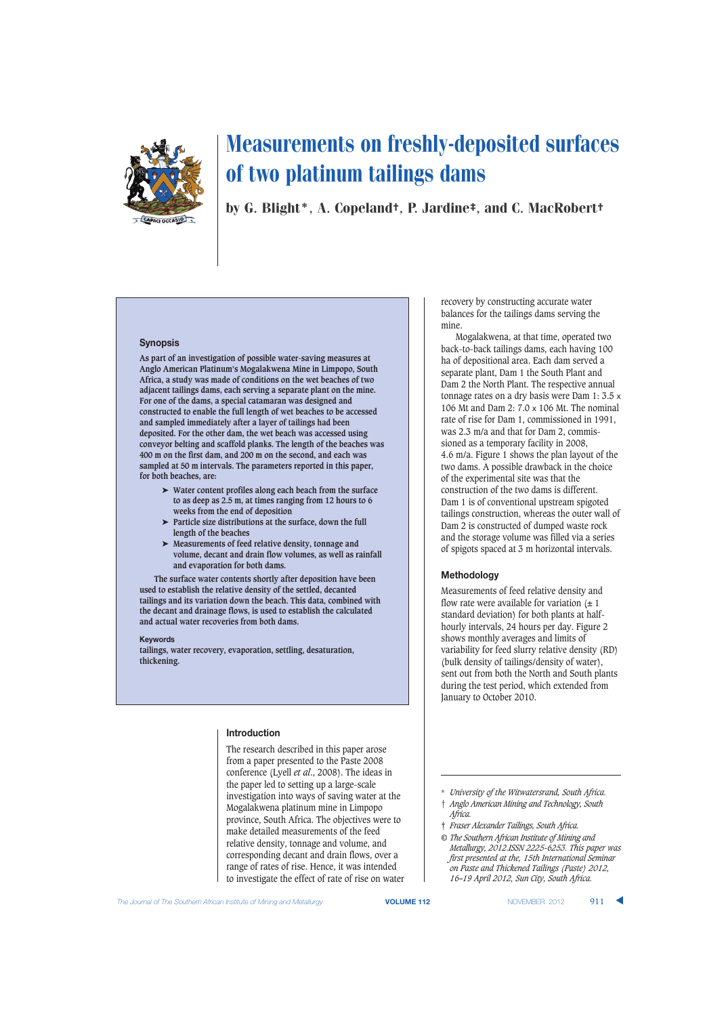

by G. Blight\*, A. Copeland†, P. Jardine‡, and C. MacRobert†

#### **Synopsis**

**As part of an investigation of possible water-saving measures at Anglo American Platinum's Mogalakwena Mine in Limpopo, South Africa, a study was made of conditions on the wet beaches of two adjacent tailings dams, each serving a separate plant on the mine. For one of the dams, a special catamaran was designed and constructed to enable the full length of wet beaches to be accessed and sampled immediately after a layer of tailings had been deposited. For the other dam, the wet beach was accessed using conveyor belting and scaffold planks. The length of the beaches was 400 m on the first dam, and 200 m on the second, and each was sampled at 50 m intervals. The parameters reported in this paper, for both beaches, are:**

- ➤ **Water content profiles along each beach from the surface to as deep as 2.5 m, at times ranging from 12 hours to 6 weeks from the end of deposition**
- ➤ **Particle size distributions at the surface, down the full length of the beaches**
- ➤ **Measurements of feed relative density, tonnage and volume, decant and drain flow volumes, as well as rainfall and evaporation for both dams.**

**The surface water contents shortly after deposition have been used to establish the relative density of the settled, decanted tailings and its variation down the beach. This data, combined with the decant and drainage flows, is used to establish the calculated and actual water recoveries from both dams.**

#### **Keywords**

**tailings, water recovery, evaporation, settling, desaturation, thickening.**

## **Introduction**

The research described in this paper arose from a paper presented to the Paste 2008 conference (Lyell *et al*., 2008). The ideas in the paper led to setting up a large-scale investigation into ways of saving water at the Mogalakwena platinum mine in Limpopo province, South Africa. The objectives were to make detailed measurements of the feed relative density, tonnage and volume, and corresponding decant and drain flows, over a range of rates of rise. Hence, it was intended to investigate the effect of rate of rise on water recovery by constructing accurate water balances for the tailings dams serving the mine.

Mogalakwena, at that time, operated two back-to-back tailings dams, each having 100 ha of depositional area. Each dam served a separate plant, Dam 1 the South Plant and Dam 2 the North Plant. The respective annual tonnage rates on a dry basis were Dam 1: 3.5 x 106 Mt and Dam 2: 7.0 x 106 Mt. The nominal rate of rise for Dam 1, commissioned in 1991, was 2.3 m/a and that for Dam 2, commissioned as a temporary facility in 2008, 4.6 m/a. Figure 1 shows the plan layout of the two dams. A possible drawback in the choice of the experimental site was that the construction of the two dams is different. Dam 1 is of conventional upstream spigoted tailings construction, whereas the outer wall of Dam 2 is constructed of dumped waste rock and the storage volume was filled via a series of spigots spaced at 3 m horizontal intervals.

#### **Methodology**

Measurements of feed relative density and flow rate were available for variation  $(\pm 1)$ standard deviation) for both plants at halfhourly intervals, 24 hours per day. Figure 2 shows monthly averages and limits of variability for feed slurry relative density (RD) (bulk density of tailings/density of water), sent out from both the North and South plants during the test period, which extended from January to October 2010.

† *Anglo American Mining and Technology, South Africa.*

*© The Southern African Institute of Mining and Metallurgy, 2012.ISSN 2225-6253. This paper was first presented at the, 15th International Seminar on Paste and Thickened Tailings (Paste) 2012, 16–19 April 2012, Sun City, South Africa.*

<sup>\*</sup> *University of the Witwatersrand, South Africa.*

<sup>‡</sup> *Fraser Alexander Tailings, South Africa.*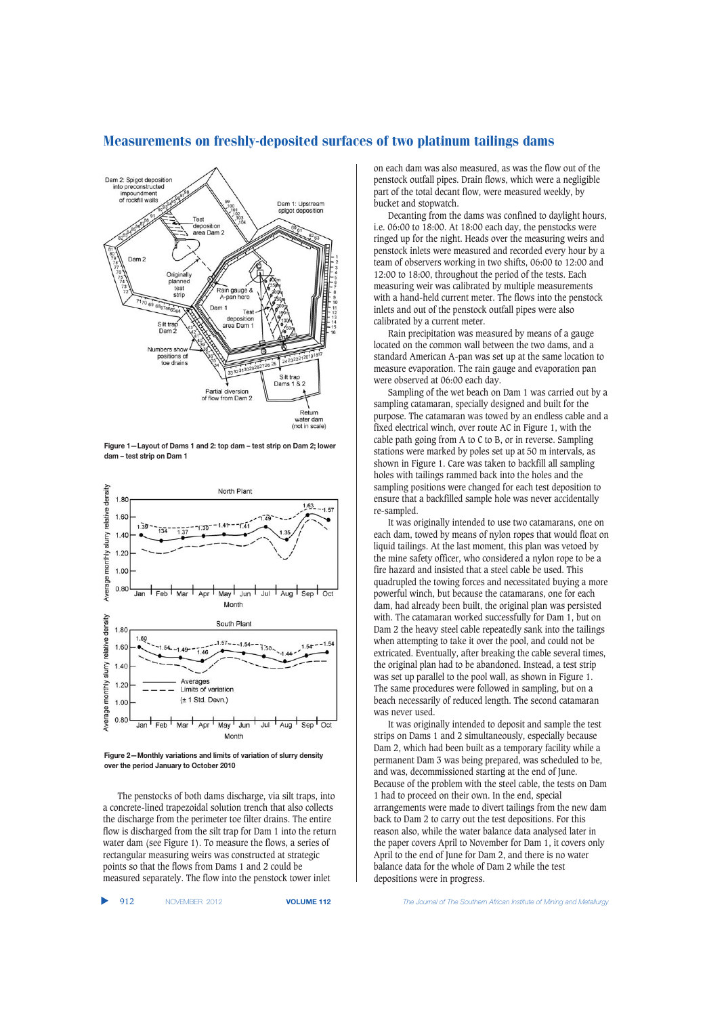

Measurements on freshly-deposited surfaces of two platinum tailings dams

**Figure 1—Layout of Dams 1 and 2: top dam – test strip on Dam 2; lower dam – test strip on Dam 1**





The penstocks of both dams discharge, via silt traps, into a concrete-lined trapezoidal solution trench that also collects the discharge from the perimeter toe filter drains. The entire flow is discharged from the silt trap for Dam 1 into the return water dam (see Figure 1). To measure the flows, a series of rectangular measuring weirs was constructed at strategic points so that the flows from Dams 1 and 2 could be measured separately. The flow into the penstock tower inlet

▲

on each dam was also measured, as was the flow out of the penstock outfall pipes. Drain flows, which were a negligible part of the total decant flow, were measured weekly, by bucket and stopwatch.

Decanting from the dams was confined to daylight hours, i.e. 06:00 to 18:00. At 18:00 each day, the penstocks were ringed up for the night. Heads over the measuring weirs and penstock inlets were measured and recorded every hour by a team of observers working in two shifts, 06:00 to 12:00 and 12:00 to 18:00, throughout the period of the tests. Each measuring weir was calibrated by multiple measurements with a hand-held current meter. The flows into the penstock inlets and out of the penstock outfall pipes were also calibrated by a current meter.

Rain precipitation was measured by means of a gauge located on the common wall between the two dams, and a standard American A-pan was set up at the same location to measure evaporation. The rain gauge and evaporation pan were observed at 06:00 each day.

Sampling of the wet beach on Dam 1 was carried out by a sampling catamaran, specially designed and built for the purpose. The catamaran was towed by an endless cable and a fixed electrical winch, over route AC in Figure 1, with the cable path going from A to C to B, or in reverse. Sampling stations were marked by poles set up at 50 m intervals, as shown in Figure 1. Care was taken to backfill all sampling holes with tailings rammed back into the holes and the sampling positions were changed for each test deposition to ensure that a backfilled sample hole was never accidentally re-sampled.

It was originally intended to use two catamarans, one on each dam, towed by means of nylon ropes that would float on liquid tailings. At the last moment, this plan was vetoed by the mine safety officer, who considered a nylon rope to be a fire hazard and insisted that a steel cable be used. This quadrupled the towing forces and necessitated buying a more powerful winch, but because the catamarans, one for each dam, had already been built, the original plan was persisted with. The catamaran worked successfully for Dam 1, but on Dam 2 the heavy steel cable repeatedly sank into the tailings when attempting to take it over the pool, and could not be extricated. Eventually, after breaking the cable several times, the original plan had to be abandoned. Instead, a test strip was set up parallel to the pool wall, as shown in Figure 1. The same procedures were followed in sampling, but on a beach necessarily of reduced length. The second catamaran was never used.

It was originally intended to deposit and sample the test strips on Dams 1 and 2 simultaneously, especially because Dam 2, which had been built as a temporary facility while a permanent Dam 3 was being prepared, was scheduled to be, and was, decommissioned starting at the end of June. Because of the problem with the steel cable, the tests on Dam 1 had to proceed on their own. In the end, special arrangements were made to divert tailings from the new dam back to Dam 2 to carry out the test depositions. For this reason also, while the water balance data analysed later in the paper covers April to November for Dam 1, it covers only April to the end of June for Dam 2, and there is no water balance data for the whole of Dam 2 while the test depositions were in progress.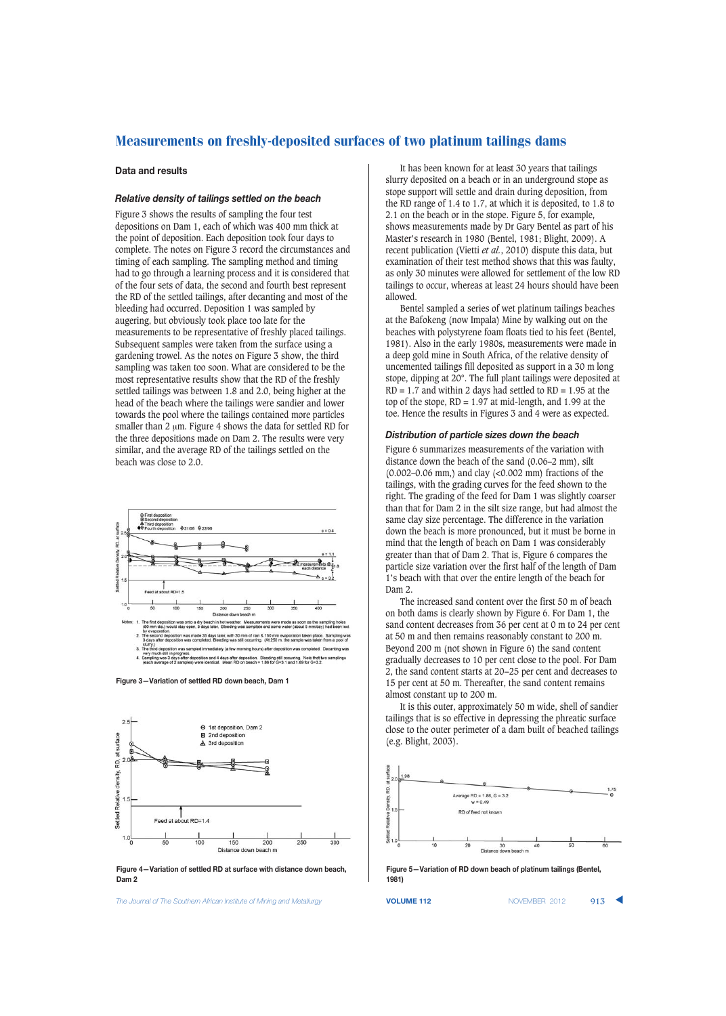#### **Data and results**

### *Relative density of tailings settled on the beach*

Figure 3 shows the results of sampling the four test depositions on Dam 1, each of which was 400 mm thick at the point of deposition. Each deposition took four days to complete. The notes on Figure 3 record the circumstances and timing of each sampling. The sampling method and timing had to go through a learning process and it is considered that of the four sets of data, the second and fourth best represent the RD of the settled tailings, after decanting and most of the bleeding had occurred. Deposition 1 was sampled by augering, but obviously took place too late for the measurements to be representative of freshly placed tailings. Subsequent samples were taken from the surface using a gardening trowel. As the notes on Figure 3 show, the third sampling was taken too soon. What are considered to be the most representative results show that the RD of the freshly settled tailings was between 1.8 and 2.0, being higher at the head of the beach where the tailings were sandier and lower towards the pool where the tailings contained more particles smaller than  $2 \mu m$ . Figure 4 shows the data for settled RD for the three depositions made on Dam 2. The results were very similar, and the average RD of the tailings settled on the beach was close to 2.0.



**Figure 3—Variation of settled RD down beach, Dam 1**



**Figure 4—Variation of settled RD at surface with distance down beach, Dam 2**

**The Journal of The Southern African Institute of Mining and Metallurgy <b>VOLUME 112 VOLUME 112** NOVEMBER 2012 913

It has been known for at least 30 years that tailings slurry deposited on a beach or in an underground stope as stope support will settle and drain during deposition, from the RD range of 1.4 to 1.7, at which it is deposited, to 1.8 to 2.1 on the beach or in the stope. Figure 5, for example, shows measurements made by Dr Gary Bentel as part of his Master's research in 1980 (Bentel, 1981; Blight, 2009). A recent publication (Vietti *et al.*, 2010) dispute this data, but examination of their test method shows that this was faulty, as only 30 minutes were allowed for settlement of the low RD tailings to occur, whereas at least 24 hours should have been allowed.

Bentel sampled a series of wet platinum tailings beaches at the Bafokeng (now Impala) Mine by walking out on the beaches with polystyrene foam floats tied to his feet (Bentel, 1981). Also in the early 1980s, measurements were made in a deep gold mine in South Africa, of the relative density of uncemented tailings fill deposited as support in a 30 m long stope, dipping at 20°. The full plant tailings were deposited at  $RD = 1.7$  and within 2 days had settled to  $RD = 1.95$  at the top of the stope,  $RD = 1.97$  at mid-length, and 1.99 at the toe. Hence the results in Figures 3 and 4 were as expected.

#### *Distribution of particle sizes down the beach*

Figure 6 summarizes measurements of the variation with distance down the beach of the sand (0.06–2 mm), silt (0.002–0.06 mm,) and clay (<0.002 mm) fractions of the tailings, with the grading curves for the feed shown to the right. The grading of the feed for Dam 1 was slightly coarser than that for Dam 2 in the silt size range, but had almost the same clay size percentage. The difference in the variation down the beach is more pronounced, but it must be borne in mind that the length of beach on Dam 1 was considerably greater than that of Dam 2. That is, Figure 6 compares the particle size variation over the first half of the length of Dam 1's beach with that over the entire length of the beach for Dam 2.

The increased sand content over the first 50 m of beach on both dams is clearly shown by Figure 6. For Dam 1, the sand content decreases from 36 per cent at 0 m to 24 per cent at 50 m and then remains reasonably constant to 200 m. Beyond 200 m (not shown in Figure 6) the sand content gradually decreases to 10 per cent close to the pool. For Dam 2, the sand content starts at 20−25 per cent and decreases to 15 per cent at 50 m. Thereafter, the sand content remains almost constant up to 200 m.

It is this outer, approximately 50 m wide, shell of sandier tailings that is so effective in depressing the phreatic surface close to the outer perimeter of a dam built of beached tailings (e.g. Blight, 2003).



**Figure 5—Variation of RD down beach of platinum tailings (Bentel, 1981)**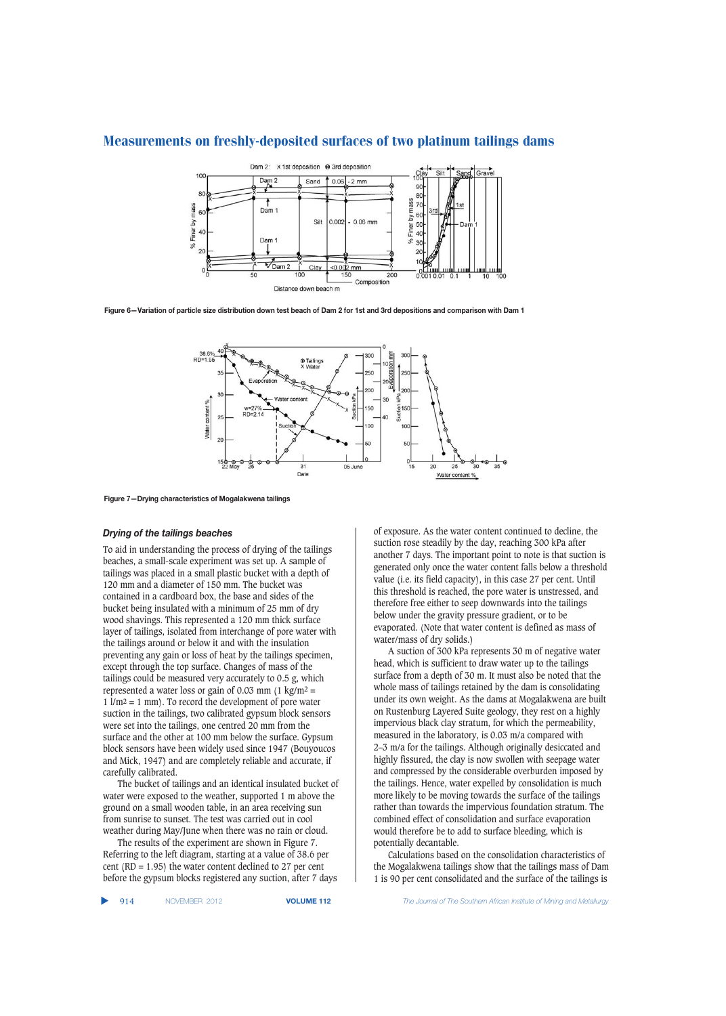

**Figure 6—Variation of particle size distribution down test beach of Dam 2 for 1st and 3rd depositions and comparison with Dam 1**



**Figure 7—Drying characteristics of Mogalakwena tailings**

#### *Drying of the tailings beaches*

To aid in understanding the process of drying of the tailings beaches, a small-scale experiment was set up. A sample of tailings was placed in a small plastic bucket with a depth of 120 mm and a diameter of 150 mm. The bucket was contained in a cardboard box, the base and sides of the bucket being insulated with a minimum of 25 mm of dry wood shavings. This represented a 120 mm thick surface layer of tailings, isolated from interchange of pore water with the tailings around or below it and with the insulation preventing any gain or loss of heat by the tailings specimen, except through the top surface. Changes of mass of the tailings could be measured very accurately to 0.5 g, which represented a water loss or gain of 0.03 mm  $(1 \text{ kg/m}^2 =$  $1 \text{ }\mathrm{l/m^2} = 1 \text{ mm}$ ). To record the development of pore water suction in the tailings, two calibrated gypsum block sensors were set into the tailings, one centred 20 mm from the surface and the other at 100 mm below the surface. Gypsum block sensors have been widely used since 1947 (Bouyoucos and Mick, 1947) and are completely reliable and accurate, if carefully calibrated.

The bucket of tailings and an identical insulated bucket of water were exposed to the weather, supported 1 m above the ground on a small wooden table, in an area receiving sun from sunrise to sunset. The test was carried out in cool weather during May/June when there was no rain or cloud.

The results of the experiment are shown in Figure 7. Referring to the left diagram, starting at a value of 38.6 per cent (RD = 1.95) the water content declined to 27 per cent before the gypsum blocks registered any suction, after 7 days of exposure. As the water content continued to decline, the suction rose steadily by the day, reaching 300 kPa after another 7 days. The important point to note is that suction is generated only once the water content falls below a threshold value (i.e. its field capacity), in this case 27 per cent. Until this threshold is reached, the pore water is unstressed, and therefore free either to seep downwards into the tailings below under the gravity pressure gradient, or to be evaporated. (Note that water content is defined as mass of water/mass of dry solids.)

A suction of 300 kPa represents 30 m of negative water head, which is sufficient to draw water up to the tailings surface from a depth of 30 m. It must also be noted that the whole mass of tailings retained by the dam is consolidating under its own weight. As the dams at Mogalakwena are built on Rustenburg Layered Suite geology, they rest on a highly impervious black clay stratum, for which the permeability, measured in the laboratory, is 0.03 m/a compared with 2–3 m/a for the tailings. Although originally desiccated and highly fissured, the clay is now swollen with seepage water and compressed by the considerable overburden imposed by the tailings. Hence, water expelled by consolidation is much more likely to be moving towards the surface of the tailings rather than towards the impervious foundation stratum. The combined effect of consolidation and surface evaporation would therefore be to add to surface bleeding, which is potentially decantable.

Calculations based on the consolidation characteristics of the Mogalakwena tailings show that the tailings mass of Dam 1 is 90 per cent consolidated and the surface of the tailings is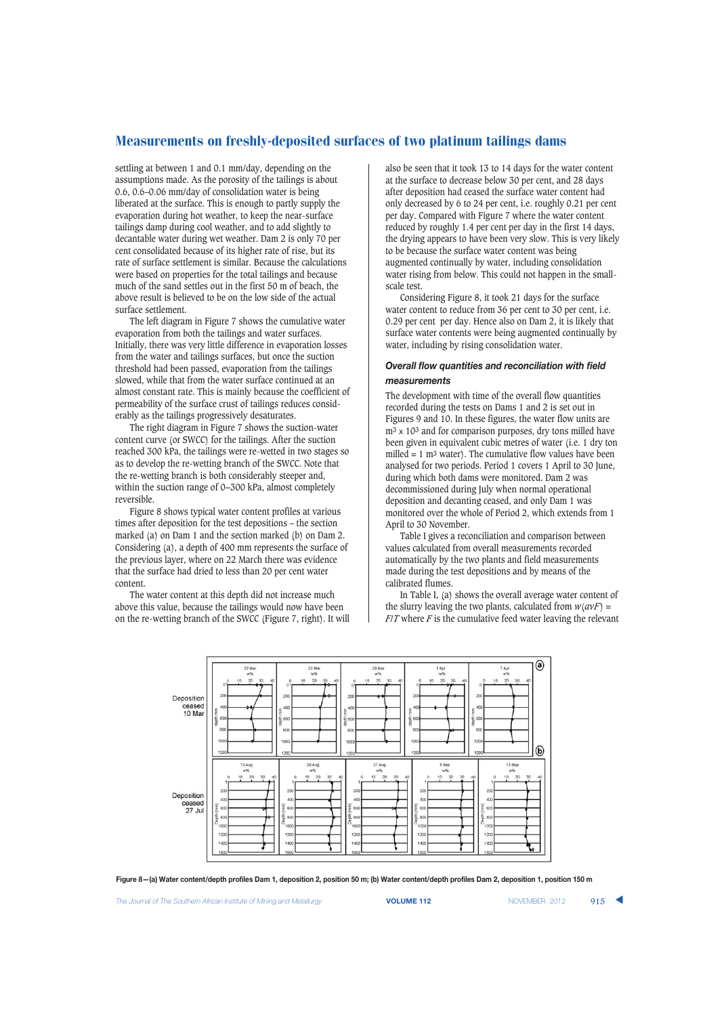settling at between 1 and 0.1 mm/day, depending on the assumptions made. As the porosity of the tailings is about 0.6, 0.6–0.06 mm/day of consolidation water is being liberated at the surface. This is enough to partly supply the evaporation during hot weather, to keep the near-surface tailings damp during cool weather, and to add slightly to decantable water during wet weather. Dam 2 is only 70 per cent consolidated because of its higher rate of rise, but its rate of surface settlement is similar. Because the calculations were based on properties for the total tailings and because much of the sand settles out in the first 50 m of beach, the above result is believed to be on the low side of the actual surface settlement.

The left diagram in Figure 7 shows the cumulative water evaporation from both the tailings and water surfaces. Initially, there was very little difference in evaporation losses from the water and tailings surfaces, but once the suction threshold had been passed, evaporation from the tailings slowed, while that from the water surface continued at an almost constant rate. This is mainly because the coefficient of permeability of the surface crust of tailings reduces considerably as the tailings progressively desaturates.

The right diagram in Figure 7 shows the suction-water content curve (or SWCC) for the tailings. After the suction reached 300 kPa, the tailings were re-wetted in two stages so as to develop the re-wetting branch of the SWCC. Note that the re-wetting branch is both considerably steeper and, within the suction range of 0−300 kPa, almost completely reversible.

Figure 8 shows typical water content profiles at various times after deposition for the test depositions – the section marked (a) on Dam 1 and the section marked (b) on Dam 2. Considering (a), a depth of 400 mm represents the surface of the previous layer, where on 22 March there was evidence that the surface had dried to less than 20 per cent water content.

The water content at this depth did not increase much above this value, because the tailings would now have been on the re-wetting branch of the SWCC (Figure 7, right). It will also be seen that it took 13 to 14 days for the water content at the surface to decrease below 30 per cent, and 28 days after deposition had ceased the surface water content had only decreased by 6 to 24 per cent, i.e. roughly 0.21 per cent per day. Compared with Figure 7 where the water content reduced by roughly 1.4 per cent per day in the first 14 days, the drying appears to have been very slow. This is very likely to be because the surface water content was being augmented continually by water, including consolidation water rising from below. This could not happen in the smallscale test.

Considering Figure 8, it took 21 days for the surface water content to reduce from 36 per cent to 30 per cent, i.e. 0.29 per cent per day. Hence also on Dam 2, it is likely that surface water contents were being augmented continually by water, including by rising consolidation water.

## *Overall flow quantities and reconciliation with field measurements*

The development with time of the overall flow quantities recorded during the tests on Dams 1 and 2 is set out in Figures 9 and 10. In these figures, the water flow units are  $m<sup>3</sup>$  x 10<sup>3</sup> and for comparison purposes, dry tons milled have been given in equivalent cubic metres of water (i.e. 1 dry ton milled  $= 1$  m<sup>3</sup> water). The cumulative flow values have been analysed for two periods. Period 1 covers 1 April to 30 June, during which both dams were monitored. Dam 2 was decommissioned during July when normal operational deposition and decanting ceased, and only Dam 1 was monitored over the whole of Period 2, which extends from 1 April to 30 November.

Table I gives a reconciliation and comparison between values calculated from overall measurements recorded automatically by the two plants and field measurements made during the test depositions and by means of the calibrated flumes.

In Table I, (a) shows the overall average water content of the slurry leaving the two plants, calculated from  $w(\alpha V)$  = *F*/*T* where *F* is the cumulative feed water leaving the relevant



**Figure 8—(a) Water content/depth profiles Dam 1, deposition 2, position 50 m; (b) Water content/depth profiles Dam 2, deposition 1, position 150 m**

**The Journal of The Southern African Institute of Mining and Metallurgy <b>VOLUME 112 VOLUME 112** NOVEMBER 2012 915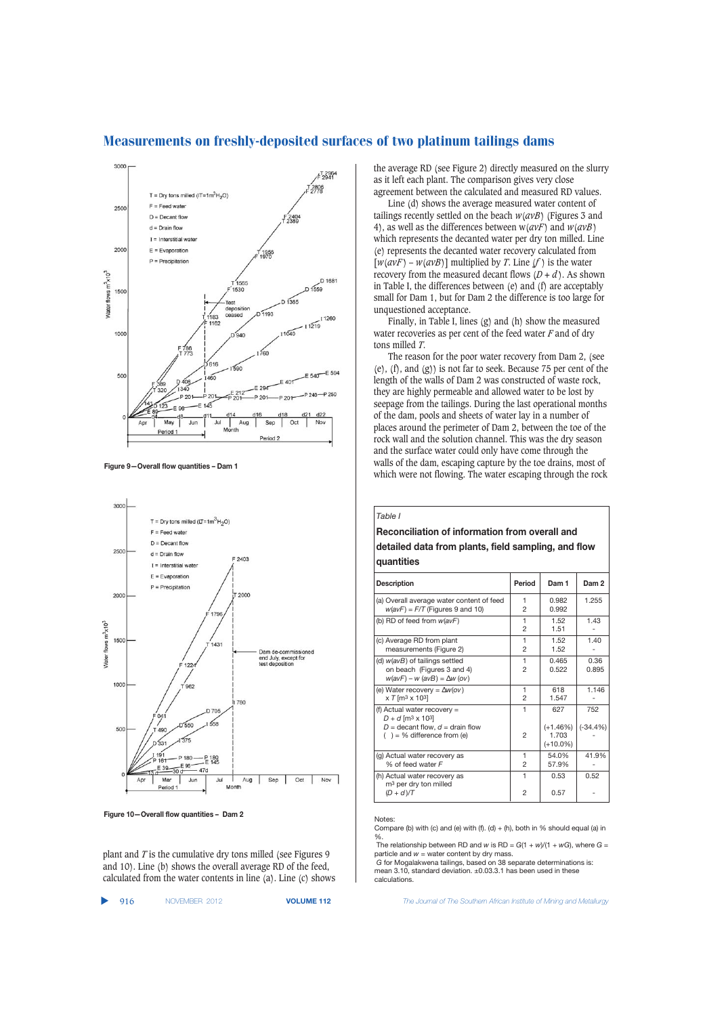

Measurements on freshly-deposited surfaces of two platinum tailings dams

**Figure 9—Overall flow quantities – Dam 1**



**Figure 10—Overall flow quantities – Dam 2**

plant and *T* is the cumulative dry tons milled (see Figures 9 and 10). Line (b) shows the overall average RD of the feed, calculated from the water contents in line (a). Line (c) shows

|  | 916 | NOVEMBER 2012 | <b>VOLUN</b> |
|--|-----|---------------|--------------|
|--|-----|---------------|--------------|

the average RD (see Figure 2) directly measured on the slurry as it left each plant. The comparison gives very close agreement between the calculated and measured RD values.

Line (d) shows the average measured water content of tailings recently settled on the beach *w*(*avB*) (Figures 3 and 4), as well as the differences between w(*avF*) and *w*(*avB*) which represents the decanted water per dry ton milled. Line (e) represents the decanted water recovery calculated from  $[w(a\nu F) - w(a\nu B)]$  multiplied by *T*. Line  $(f)$  is the water recovery from the measured decant flows  $(D + d)$ . As shown in Table I, the differences between (e) and (f) are acceptably small for Dam 1, but for Dam 2 the difference is too large for unquestioned acceptance.

Finally, in Table I, lines (g) and (h) show the measured water recoveries as per cent of the feed water *F* and of dry tons milled *T*.

The reason for the poor water recovery from Dam 2, (see (e), (f), and (g)) is not far to seek. Because 75 per cent of the length of the walls of Dam 2 was constructed of waste rock, they are highly permeable and allowed water to be lost by seepage from the tailings. During the last operational months of the dam, pools and sheets of water lay in a number of places around the perimeter of Dam 2, between the toe of the rock wall and the solution channel. This was the dry season and the surface water could only have come through the walls of the dam, escaping capture by the toe drains, most of which were not flowing. The water escaping through the rock

*Table I*

# **Reconciliation of information from overall and detailed data from plants, field sampling, and flow quantities**

| <b>Description</b>                                                                                                                                    | Period              | Dam 1                                     | Dam <sub>2</sub>  |
|-------------------------------------------------------------------------------------------------------------------------------------------------------|---------------------|-------------------------------------------|-------------------|
| (a) Overall average water content of feed<br>$w(avF) = F/T$ (Figures 9 and 10)                                                                        | 1<br>2              | 0.982<br>0.992                            | 1.255             |
| (b) RD of feed from $w(avF)$                                                                                                                          | 1<br>2              | 1.52<br>1.51                              | 1.43              |
| (c) Average RD from plant<br>measurements (Figure 2)                                                                                                  | 1<br>2              | 1.52<br>1.52                              | 1.40              |
| (d) w(avB) of tailings settled<br>on beach (Figures 3 and 4)<br>$w(avF) - w (avB) = \Delta w (ov)$                                                    | 1<br>2              | 0.465<br>0.522                            | 0.36<br>0.895     |
| (e) Water recovery = $\Delta w (ov)$<br>$x T$ [m <sup>3</sup> x 10 <sup>3</sup> ]                                                                     | 1<br>$\mathfrak{p}$ | 618<br>1.547                              | 1.146             |
| (f) Actual water recovery $=$<br>$D + d$ [m <sup>3</sup> x 10 <sup>3</sup> ]<br>$D =$ decant flow, $d =$ drain flow<br>$( ) = \%$ difference from (e) | 1<br>$\mathfrak{p}$ | 627<br>$(+1.46%)$<br>1.703<br>$(+10.0\%)$ | 752<br>$(-34.4%)$ |
| (g) Actual water recovery as<br>% of feed water F                                                                                                     | 1<br>2              | 54.0%<br>57.9%                            | 41.9%             |
| (h) Actual water recovery as<br>m <sup>3</sup> per dry ton milled<br>$(D + d)/T$                                                                      | 1<br>$\overline{2}$ | 0.53<br>0.57                              | 0.52              |

#### Notes:

Compare (b) with (c) and (e) with (f).  $(d) + (h)$ , both in % should equal (a) in %.

The relationship between RD and *w* is RD = *G*(1 + *w*)/(1 + *wG*), where *G* = particle and  $w =$  water content by dry mass.

*G* for Mogalakwena tailings, based on 38 separate determinations is: mean 3.10, standard deviation. ±0.03.3.1 has been used in these calculations

**112** *The Journal of The Southern African Institute of Mining and Metallurgy*